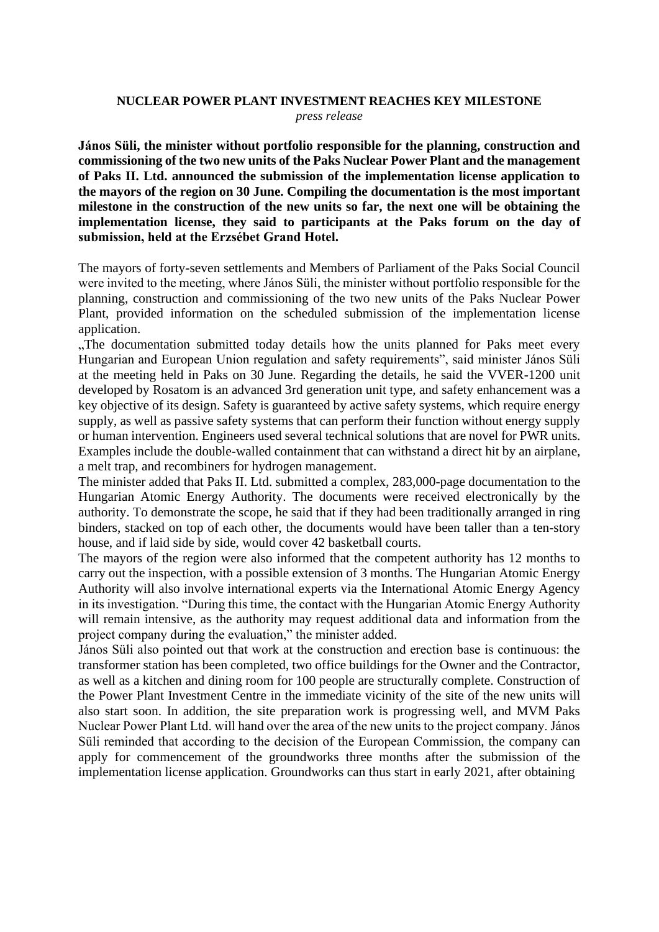## **NUCLEAR POWER PLANT INVESTMENT REACHES KEY MILESTONE** *press release*

**János Süli, the minister without portfolio responsible for the planning, construction and commissioning of the two new units of the Paks Nuclear Power Plant and the management of Paks II. Ltd. announced the submission of the implementation license application to the mayors of the region on 30 June. Compiling the documentation is the most important milestone in the construction of the new units so far, the next one will be obtaining the implementation license, they said to participants at the Paks forum on the day of submission, held at the Erzsébet Grand Hotel.** 

The mayors of forty-seven settlements and Members of Parliament of the Paks Social Council were invited to the meeting, where János Süli, the minister without portfolio responsible for the planning, construction and commissioning of the two new units of the Paks Nuclear Power Plant, provided information on the scheduled submission of the implementation license application.

"The documentation submitted today details how the units planned for Paks meet every Hungarian and European Union regulation and safety requirements", said minister János Süli at the meeting held in Paks on 30 June. Regarding the details, he said the VVER-1200 unit developed by Rosatom is an advanced 3rd generation unit type, and safety enhancement was a key objective of its design. Safety is guaranteed by active safety systems, which require energy supply, as well as passive safety systems that can perform their function without energy supply or human intervention. Engineers used several technical solutions that are novel for PWR units. Examples include the double-walled containment that can withstand a direct hit by an airplane, a melt trap, and recombiners for hydrogen management.

The minister added that Paks II. Ltd. submitted a complex, 283,000-page documentation to the Hungarian Atomic Energy Authority. The documents were received electronically by the authority. To demonstrate the scope, he said that if they had been traditionally arranged in ring binders, stacked on top of each other, the documents would have been taller than a ten-story house, and if laid side by side, would cover 42 basketball courts.

The mayors of the region were also informed that the competent authority has 12 months to carry out the inspection, with a possible extension of 3 months. The Hungarian Atomic Energy Authority will also involve international experts via the International Atomic Energy Agency in its investigation. "During this time, the contact with the Hungarian Atomic Energy Authority will remain intensive, as the authority may request additional data and information from the project company during the evaluation," the minister added.

János Süli also pointed out that work at the construction and erection base is continuous: the transformer station has been completed, two office buildings for the Owner and the Contractor, as well as a kitchen and dining room for 100 people are structurally complete. Construction of the Power Plant Investment Centre in the immediate vicinity of the site of the new units will also start soon. In addition, the site preparation work is progressing well, and MVM Paks Nuclear Power Plant Ltd. will hand over the area of the new units to the project company. János Süli reminded that according to the decision of the European Commission, the company can apply for commencement of the groundworks three months after the submission of the implementation license application. Groundworks can thus start in early 2021, after obtaining